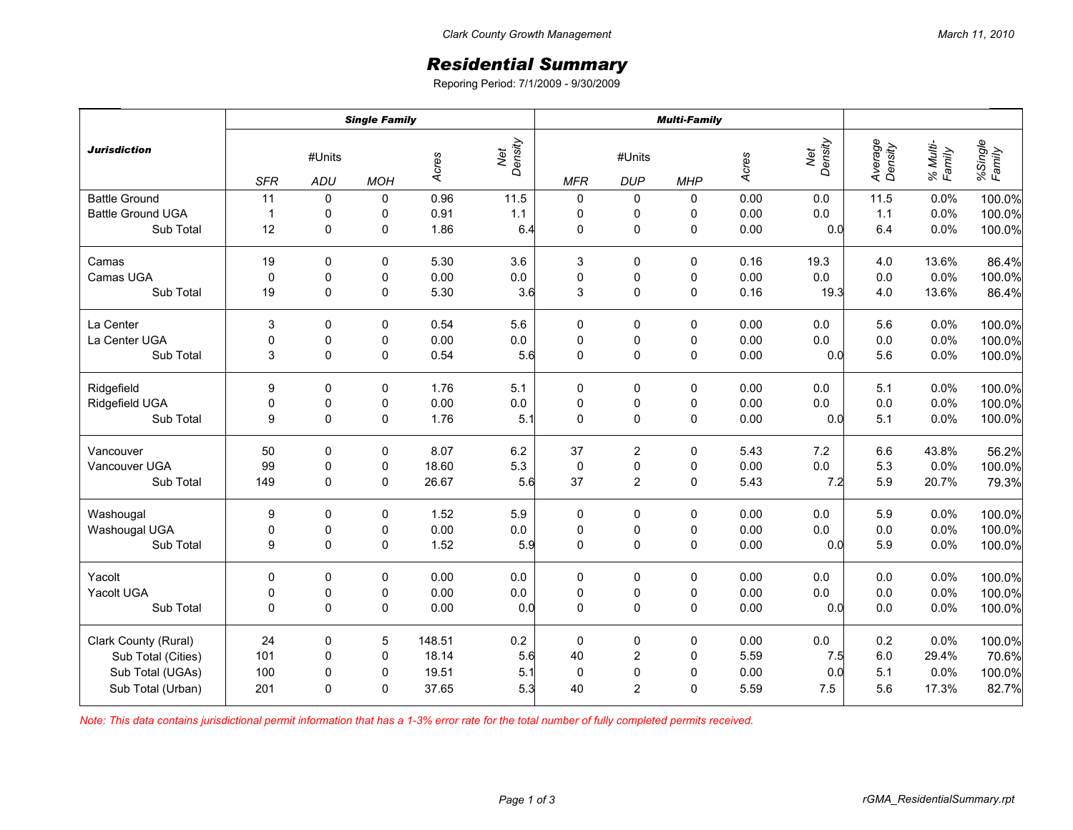## *Residential Summary*

Reporing Period: 7/1/2009 - 9/30/2009

|                          | <b>Single Family</b> |               |             |        |                | <b>Multi-Family</b> |                      |             |       |                |                    |                    |                   |
|--------------------------|----------------------|---------------|-------------|--------|----------------|---------------------|----------------------|-------------|-------|----------------|--------------------|--------------------|-------------------|
| <b>Jurisdiction</b>      | <b>SFR</b>           | #Units<br>ADU | <b>MOH</b>  | Acres  | Net<br>Density | <b>MFR</b>          | #Units<br><b>DUP</b> | <b>MHP</b>  | Acres | Density<br>Net | Average<br>Density | % Multi-<br>Family | %Single<br>Family |
| <b>Battle Ground</b>     | 11                   | 0             | 0           | 0.96   | 11.5           | 0                   | 0                    | 0           | 0.00  | 0.0            | 11.5               | 0.0%               | 100.0%            |
| <b>Battle Ground UGA</b> | $\mathbf{1}$         | 0             | 0           | 0.91   | 1.1            | $\pmb{0}$           | 0                    | 0           | 0.00  | 0.0            | $1.1$              | 0.0%               | 100.0%            |
| Sub Total                | 12                   | $\mathbf 0$   | 0           | 1.86   | 6.4            | $\mathbf 0$         | 0                    | 0           | 0.00  | 0.0            | 6.4                | 0.0%               | 100.0%            |
| Camas                    | 19                   | $\Omega$      | 0           | 5.30   | 3.6            | 3                   | 0                    | 0           | 0.16  | 19.3           | 4.0                | 13.6%              | 86.4%             |
| Camas UGA                | $\mathbf 0$          | $\mathbf 0$   | 0           | 0.00   | 0.0            | $\mathbf 0$         | $\pmb{0}$            | 0           | 0.00  | 0.0            | 0.0                | 0.0%               | 100.0%            |
| Sub Total                | 19                   | 0             | 0           | 5.30   | 3.6            | $\mathbf{3}$        | $\mathsf 0$          | 0           | 0.16  | 19.3           | 4.0                | 13.6%              | 86.4%             |
| La Center                | 3                    | $\mathbf 0$   | $\mathbf 0$ | 0.54   | 5.6            | 0                   | 0                    | 0           | 0.00  | 0.0            | 5.6                | 0.0%               | 100.0%            |
| La Center UGA            | 0                    | 0             | 0           | 0.00   | $0.0\,$        | $\pmb{0}$           | 0                    | 0           | 0.00  | 0.0            | 0.0                | 0.0%               | 100.0%            |
| Sub Total                | 3                    | $\Omega$      | 0           | 0.54   | 5.6            | $\mathbf 0$         | $\mathsf 0$          | $\pmb{0}$   | 0.00  | 0.0            | 5.6                | 0.0%               | 100.0%            |
| Ridgefield               | 9                    | 0             | 0           | 1.76   | 5.1            | $\pmb{0}$           | 0                    | 0           | 0.00  | 0.0            | 5.1                | 0.0%               | 100.0%            |
| Ridgefield UGA           | $\pmb{0}$            | $\pmb{0}$     | 0           | 0.00   | $0.0\,$        | $\pmb{0}$           | $\pmb{0}$            | $\pmb{0}$   | 0.00  | 0.0            | 0.0                | 0.0%               | 100.0%            |
| Sub Total                | 9                    | $\Omega$      | $\mathbf 0$ | 1.76   | 5.1            | $\mathbf 0$         | $\pmb{0}$            | $\pmb{0}$   | 0.00  | 0.0            | 5.1                | 0.0%               | 100.0%            |
| Vancouver                | 50                   | 0             | 0           | 8.07   | 6.2            | 37                  | $\overline{2}$       | 0           | 5.43  | 7.2            | 6.6                | 43.8%              | 56.2%             |
| Vancouver UGA            | 99                   | $\pmb{0}$     | 0           | 18.60  | 5.3            | $\pmb{0}$           | $\mathsf 0$          | $\pmb{0}$   | 0.00  | $0.0\,$        | 5.3                | 0.0%               | 100.0%            |
| Sub Total                | 149                  | $\mathbf 0$   | $\mathbf 0$ | 26.67  | 5.6            | 37                  | $\overline{2}$       | $\mathsf 0$ | 5.43  | 7.2            | 5.9                | 20.7%              | 79.3%             |
| Washougal                | 9                    | 0             | 0           | 1.52   | 5.9            | 0                   | 0                    | 0           | 0.00  | 0.0            | 5.9                | 0.0%               | 100.0%            |
| Washougal UGA            | 0                    | 0             | 0           | 0.00   | $0.0\,$        | $\pmb{0}$           | $\pmb{0}$            | $\pmb{0}$   | 0.00  | 0.0            | 0.0                | 0.0%               | 100.0%            |
| Sub Total                | 9                    | $\mathbf 0$   | $\mathbf 0$ | 1.52   | 5.9            | $\mathbf 0$         | $\pmb{0}$            | $\pmb{0}$   | 0.00  | 0.0            | 5.9                | 0.0%               | 100.0%            |
| Yacolt                   | 0                    | 0             | 0           | 0.00   | $0.0\,$        | $\pmb{0}$           | 0                    | $\pmb{0}$   | 0.00  | 0.0            | 0.0                | 0.0%               | 100.0%            |
| Yacolt UGA               | $\pmb{0}$            | $\pmb{0}$     | 0           | 0.00   | $0.0\,$        | $\pmb{0}$           | $\pmb{0}$            | $\pmb{0}$   | 0.00  | 0.0            | 0.0                | 0.0%               | 100.0%            |
| Sub Total                | $\Omega$             | $\Omega$      | $\mathbf 0$ | 0.00   | 0.0            | $\mathbf 0$         | $\pmb{0}$            | $\pmb{0}$   | 0.00  | 0.0            | 0.0                | 0.0%               | 100.0%            |
| Clark County (Rural)     | 24                   | 0             | 5           | 148.51 | $0.2\,$        | $\mathbf 0$         | 0                    | 0           | 0.00  | 0.0            | 0.2                | 0.0%               | 100.0%            |
| Sub Total (Cities)       | 101                  | 0             | 0           | 18.14  | 5.6            | 40                  | $\overline{c}$       | 0           | 5.59  | 7.5            | 6.0                | 29.4%              | 70.6%             |
| Sub Total (UGAs)         | 100                  | 0             | 0           | 19.51  | 5.1            | $\pmb{0}$           | $\mathbf 0$          | $\pmb{0}$   | 0.00  | 0.0            | 5.1                | 0.0%               | 100.0%            |
| Sub Total (Urban)        | 201                  | $\Omega$      | 0           | 37.65  | 5.3            | 40                  | $\overline{2}$       | $\mathbf 0$ | 5.59  | 7.5            | 5.6                | 17.3%              | 82.7%             |

*Note: This data contains jurisdictional permit information that has a 1-3% error rate for the total number of fully completed permits received.*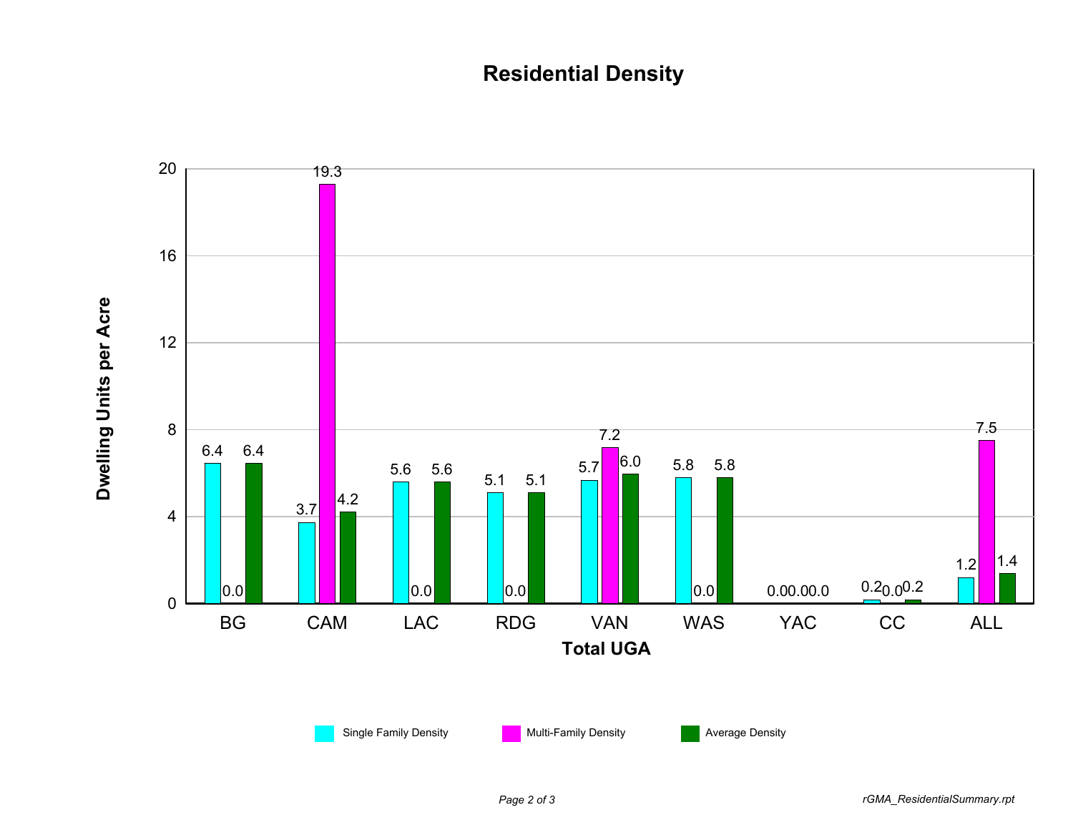## **Residential Density**